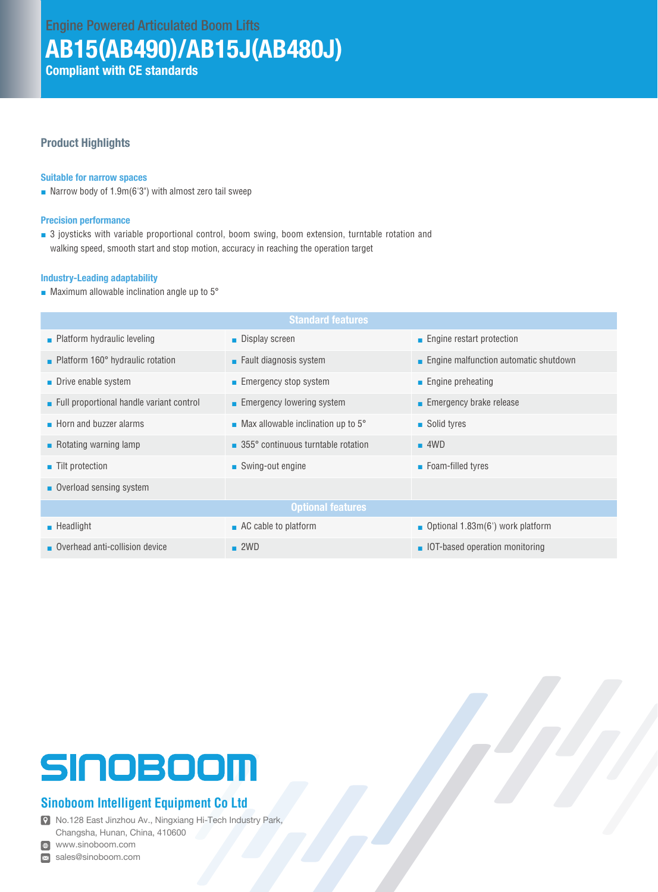### AB15(AB490)/AB15J(AB480J)

Compliant with CE standards

#### Product Highlights

#### Suitable for narrow spaces

■ Narrow body of 1.9m(6'3") with almost zero tail sweep

#### Precision performance

■ 3 joysticks with variable proportional control, boom swing, boom extension, turntable rotation and walking speed, smooth start and stop motion, accuracy in reaching the operation target

#### Industry-Leading adaptability

■ Maximum allowable inclination angle up to 5°

| <b>Standard features</b>                   |                                                            |                                           |  |  |  |
|--------------------------------------------|------------------------------------------------------------|-------------------------------------------|--|--|--|
| $\blacksquare$ Platform hydraulic leveling | <b>Display screen</b>                                      | ■ Engine restart protection               |  |  |  |
| • Platform 160° hydraulic rotation         | $\blacksquare$ Fault diagnosis system                      | ■ Engine malfunction automatic shutdown   |  |  |  |
| • Drive enable system                      | ■ Emergency stop system                                    | $\blacksquare$ Engine preheating          |  |  |  |
| Full proportional handle variant control   | ■ Emergency lowering system                                | $\blacksquare$ Emergency brake release    |  |  |  |
| $\blacksquare$ Horn and buzzer alarms      | $\blacksquare$ Max allowable inclination up to 5 $\degree$ | ■ Solid tyres                             |  |  |  |
| $\blacksquare$ Rotating warning lamp       | 355° continuous turntable rotation                         | $-4WD$                                    |  |  |  |
| ■ Tilt protection                          | ■ Swing-out engine                                         | ■ Foam-filled tyres                       |  |  |  |
| • Overload sensing system                  |                                                            |                                           |  |  |  |
| <b>Optional features</b>                   |                                                            |                                           |  |  |  |
| $\blacksquare$ Headlight                   | $\blacksquare$ AC cable to platform                        | <b>Depetional 1.83m(6')</b> work platform |  |  |  |
| Overhead anti-collision device             | $\blacksquare$ 2WD                                         | • IOT-based operation monitoring          |  |  |  |

# SINOBOOM

#### **Sinoboom Intelligent Equipment Co Ltd**

No.128 East Jinzhou Av., Ningxiang Hi-Tech Industry Park, Changsha, Hunan, China, 410600

www.sinoboom.com

sales@sinoboom.com